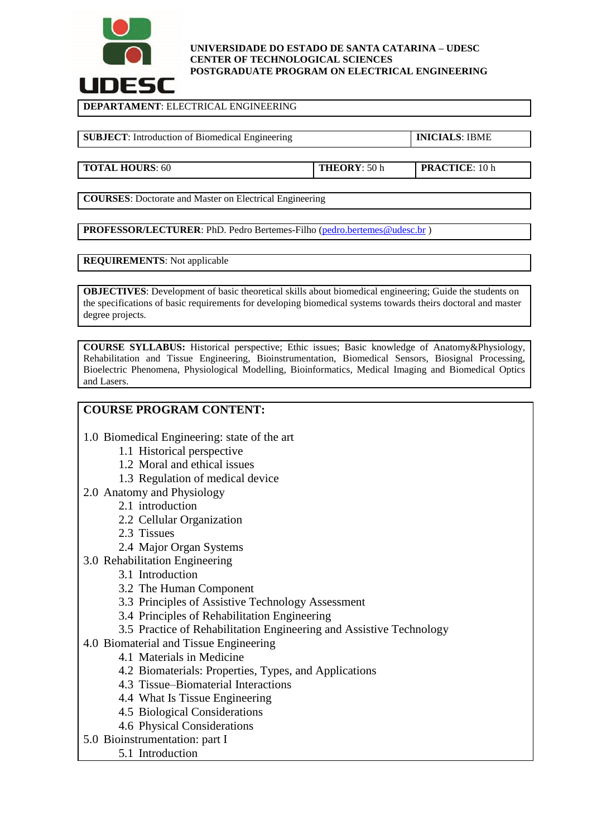

#### **UNIVERSIDADE DO ESTADO DE SANTA CATARINA – UDESC CENTER OF TECHNOLOGICAL SCIENCES POSTGRADUATE PROGRAM ON ELECTRICAL ENGINEERING**

**DEPARTAMENT**: ELECTRICAL ENGINEERING

**SUBJECT**: Introduction of Biomedical Engineering **INICIALS**: IBME

**TOTAL HOURS**: 60 **THEORY**: 50 h **PRACTICE**: 10 h

**COURSES**: Doctorate and Master on Electrical Engineering

**PROFESSOR/LECTURER:** PhD. Pedro Bertemes-Filho [\(pedro.bertemes@udesc.br](mailto:pedro.bertemes@udesc.br))

## **REQUIREMENTS**: Not applicable

**OBJECTIVES:** Development of basic theoretical skills about biomedical engineering; Guide the students on the specifications of basic requirements for developing biomedical systems towards theirs doctoral and master degree projects.

**COURSE SYLLABUS:** Historical perspective; Ethic issues; Basic knowledge of Anatomy&Physiology, Rehabilitation and Tissue Engineering, Bioinstrumentation, Biomedical Sensors, Biosignal Processing, Bioelectric Phenomena, Physiological Modelling, Bioinformatics, Medical Imaging and Biomedical Optics and Lasers.

# **COURSE PROGRAM CONTENT:**

- 1.0 Biomedical Engineering: state of the art
	- 1.1 Historical perspective
	- 1.2 Moral and ethical issues
	- 1.3 Regulation of medical device
- 2.0 Anatomy and Physiology
	- 2.1 introduction
	- 2.2 Cellular Organization
	- 2.3 Tissues
	- 2.4 Major Organ Systems
- 3.0 Rehabilitation Engineering
	- 3.1 Introduction
	- 3.2 The Human Component
	- 3.3 Principles of Assistive Technology Assessment
	- 3.4 Principles of Rehabilitation Engineering
	- 3.5 Practice of Rehabilitation Engineering and Assistive Technology
- 4.0 Biomaterial and Tissue Engineering
	- 4.1 Materials in Medicine
	- 4.2 Biomaterials: Properties, Types, and Applications
	- 4.3 Tissue–Biomaterial Interactions
	- 4.4 What Is Tissue Engineering
	- 4.5 Biological Considerations
	- 4.6 Physical Considerations
- 5.0 Bioinstrumentation: part I
	- 5.1 Introduction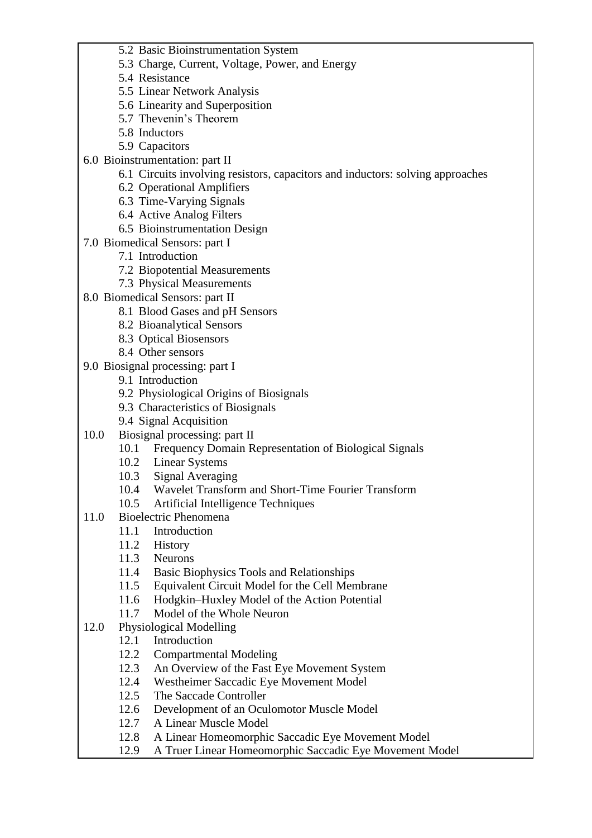- 5.2 Basic Bioinstrumentation System
- 5.3 Charge, Current, Voltage, Power, and Energy
- 5.4 Resistance
- 5.5 Linear Network Analysis
- 5.6 Linearity and Superposition
- 5.7 Thevenin's Theorem
- 5.8 Inductors
- 5.9 Capacitors
- 6.0 Bioinstrumentation: part II
	- 6.1 Circuits involving resistors, capacitors and inductors: solving approaches
	- 6.2 Operational Amplifiers
	- 6.3 Time-Varying Signals
	- 6.4 Active Analog Filters
	- 6.5 Bioinstrumentation Design
- 7.0 Biomedical Sensors: part I
	- 7.1 Introduction
	- 7.2 Biopotential Measurements
	- 7.3 Physical Measurements
- 8.0 Biomedical Sensors: part II
	- 8.1 Blood Gases and pH Sensors
	- 8.2 Bioanalytical Sensors
	- 8.3 Optical Biosensors
	- 8.4 Other sensors
- 9.0 Biosignal processing: part I
	- 9.1 Introduction
	- 9.2 Physiological Origins of Biosignals
	- 9.3 Characteristics of Biosignals
	- 9.4 Signal Acquisition
- 10.0 Biosignal processing: part II
	- 10.1 Frequency Domain Representation of Biological Signals
	- 10.2 Linear Systems
	- 10.3 Signal Averaging
	- 10.4 Wavelet Transform and Short-Time Fourier Transform
	- 10.5 Artificial Intelligence Techniques
- 11.0 Bioelectric Phenomena
	- 11.1 Introduction
	- 11.2 History
	- 11.3 Neurons
	- 11.4 Basic Biophysics Tools and Relationships
	- 11.5 Equivalent Circuit Model for the Cell Membrane
	- 11.6 Hodgkin–Huxley Model of the Action Potential
	- 11.7 Model of the Whole Neuron
- 12.0 Physiological Modelling
	- 12.1 Introduction
	- 12.2 Compartmental Modeling
	- 12.3 An Overview of the Fast Eye Movement System
	- 12.4 Westheimer Saccadic Eye Movement Model
	- 12.5 The Saccade Controller
	- 12.6 Development of an Oculomotor Muscle Model
	- 12.7 A Linear Muscle Model
	- 12.8 A Linear Homeomorphic Saccadic Eye Movement Model
	- 12.9 A Truer Linear Homeomorphic Saccadic Eye Movement Model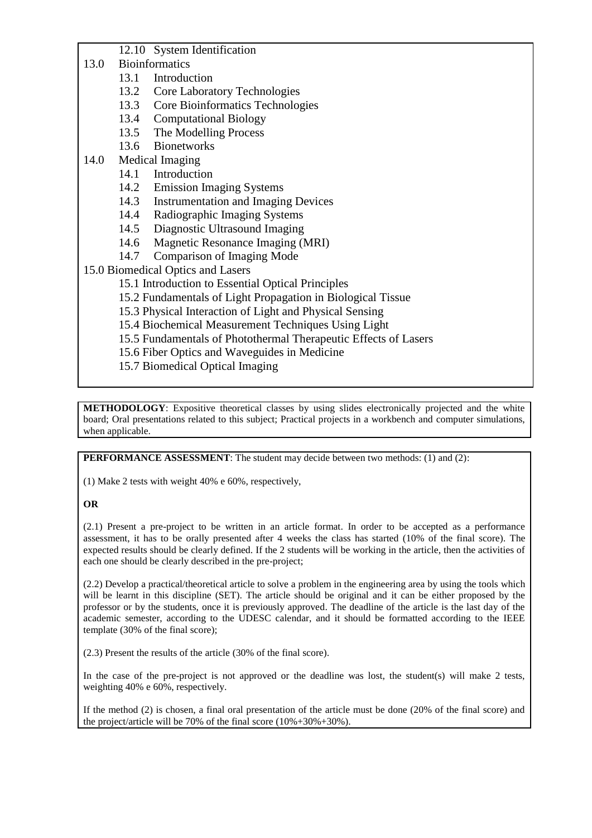- 12.10 System Identification
- 13.0 Bioinformatics
	- 13.1 Introduction
	- 13.2 Core Laboratory Technologies
	- 13.3 Core Bioinformatics Technologies
	- 13.4 Computational Biology
	- 13.5 The Modelling Process
	- 13.6 Bionetworks
- 14.0 Medical Imaging
	- 14.1 Introduction
	- 14.2 Emission Imaging Systems
	- 14.3 Instrumentation and Imaging Devices
	- 14.4 Radiographic Imaging Systems
	- 14.5 Diagnostic Ultrasound Imaging
	- 14.6 Magnetic Resonance Imaging (MRI)
	- 14.7 Comparison of Imaging Mode

## 15.0 Biomedical Optics and Lasers

- 15.1 Introduction to Essential Optical Principles
- 15.2 Fundamentals of Light Propagation in Biological Tissue
- 15.3 Physical Interaction of Light and Physical Sensing
- 15.4 Biochemical Measurement Techniques Using Light
- 15.5 Fundamentals of Photothermal Therapeutic Effects of Lasers
- 15.6 Fiber Optics and Waveguides in Medicine
- 15.7 Biomedical Optical Imaging

**METHODOLOGY**: Expositive theoretical classes by using slides electronically projected and the white board; Oral presentations related to this subject; Practical projects in a workbench and computer simulations, when applicable.

**PERFORMANCE ASSESSMENT**: The student may decide between two methods: (1) and (2):

(1) Make 2 tests with weight 40% e 60%, respectively,

### **OR**

(2.1) Present a pre-project to be written in an article format. In order to be accepted as a performance assessment, it has to be orally presented after 4 weeks the class has started (10% of the final score). The expected results should be clearly defined. If the 2 students will be working in the article, then the activities of each one should be clearly described in the pre-project;

(2.2) Develop a practical/theoretical article to solve a problem in the engineering area by using the tools which will be learnt in this discipline (SET). The article should be original and it can be either proposed by the professor or by the students, once it is previously approved. The deadline of the article is the last day of the academic semester, according to the UDESC calendar, and it should be formatted according to the IEEE template (30% of the final score);

(2.3) Present the results of the article (30% of the final score).

In the case of the pre-project is not approved or the deadline was lost, the student(s) will make 2 tests, weighting 40% e 60%, respectively.

If the method (2) is chosen, a final oral presentation of the article must be done (20% of the final score) and the project/article will be 70% of the final score (10%+30%+30%).